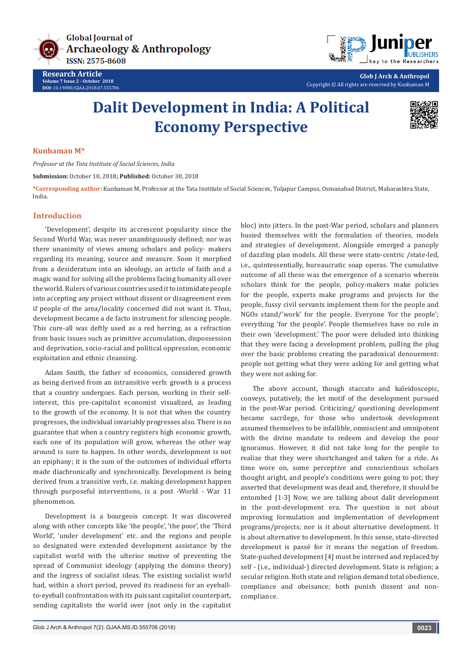

**Research Article Volume 7 Issue 2 - October 2018 DOI:** [10.19080/GJAA.2018.07.555706](http://dx.doi.org/10.19080/GJAA.2018.07.555706)



**Glob J Arch & Anthropol** Copyright © All rights are reserved by Kunhaman M

# **Dalit Development in India: A Political Economy Perspective**



#### **Kunhaman M\***

*Professor at the Tata Institute of Social Sciences, India*

**Submission:** October 10, 2018**; Published:** October 30, 2018

**\*Corresponding author:** Kunhaman M, Professor at the Tata Institute of Social Sciences, Tuljapur Campus, Osmanabad District, Maharashtra State, India.

## **Introduction**

'Development', despite its accrescent popularity since the Second World War, was never unambiguously defined; nor was there unanimity of views among scholars and policy- makers regarding its meaning, source and measure. Soon it morphed from a desideratum into an ideology, an article of faith and a magic wand for solving all the problems facing humanity all over the world. Rulers of various countries used it to intimidate people into accepting any project without dissent or disagreement even if people of the area/locality concerned did not want it. Thus, development became a de facto instrument for silencing people. This cure-all was deftly used as a red herring, as a refraction from basic issues such as primitive accumulation, dispossession and deprivation, socio-racial and political oppression, economic exploitation and ethnic cleansing.

Adam Smith, the father of economics, considered growth as being derived from an intransitive verb: growth is a process that a country undergoes. Each person, working in their selfinterest, this pre-capitalist economist visualized, as leading to the growth of the economy. It is not that when the country progresses, the individual invariably progresses also. There is no guarantee that when a country registers high economic growth, each one of its population will grow, whereas the other way around is sure to happen. In other words, development is not an epiphany; it is the sum of the outcomes of individual efforts made diachronically and synchronically. Development is being derived from a transitive verb, i.e. making development happen through purposeful interventions, is a post -World - War 11 phenomenon.

Development is a bourgeois concept. It was discovered along with other concepts like 'the people', 'the poor', the 'Third World', 'under development' etc. and the regions and people so designated were extended development assistance by the capitalist world with the ulterior motive of preventing the spread of Communist ideology (applying the domino theory) and the ingress of socialist ideas. The existing socialist world had, within a short period, proved its readiness for an eyeballto-eyeball confrontation with its puissant capitalist counterpart, sending capitalists the world over (not only in the capitalist bloc) into jitters. In the post-War period, scholars and planners busied themselves with the formulation of theories, models and strategies of development. Alongside emerged a panoply of dazzling plan models. All these were state-centric /state-led, i.e., quintessentially, bureaucratic soap operas. The cumulative outcome of all these was the emergence of a scenario wherein scholars think for the people, policy-makers make policies for the people, experts make programs and projects for the people, fussy civil servants implement them for the people and NGOs stand/'work' for the people. Everyone 'for the people'; everything 'for the people'. People themselves have no role in their own 'development.' The poor were deluded into thinking that they were facing a development problem, pulling the plug over the basic problems creating the paradoxical denouement: people not getting what they were asking for and getting what they were not asking for.

The above account, though staccato and kaleidoscopic, conveys, putatively, the let motif of the development pursued in the post-War period. Criticizing/ questioning development became sacrilege, for those who undertook development assumed themselves to be infallible, omniscient and omnipotent with the divine mandate to redeem and develop the poor ignoramus. However, it did not take long for the people to realize that they were shortchanged and taken for a ride. As time wore on, some perceptive and conscientious scholars thought aright, and people's conditions were going to pot; they asserted that development was dead and, therefore, it should be entombed [1-3] Now, we are talking about dalit development in the post-development era. The question is not about improving formulation and implementation of development programs/projects; nor is it about alternative development. It is about alternative to development. In this sense, state-directed development is passé for it means the negation of freedom. State-pushed development [4] must be interned and replaced by self - (i.e., individual-) directed development. State is religion; a secular religion. Both state and religion demand total obedience, compliance and obeisance; both punish dissent and noncompliance.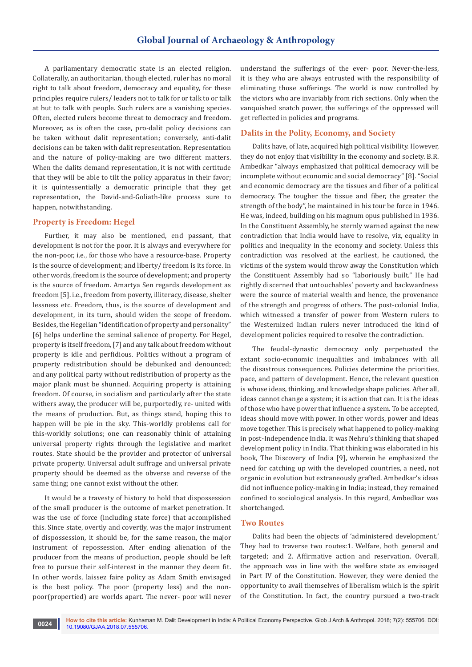A parliamentary democratic state is an elected religion. Collaterally, an authoritarian, though elected, ruler has no moral right to talk about freedom, democracy and equality, for these principles require rulers/ leaders not to talk for or talk to or talk at but to talk with people. Such rulers are a vanishing species. Often, elected rulers become threat to democracy and freedom. Moreover, as is often the case, pro-dalit policy decisions can be taken without dalit representation; conversely, anti-dalit decisions can be taken with dalit representation. Representation and the nature of policy-making are two different matters. When the dalits demand representation, it is not with certitude that they will be able to tilt the policy apparatus in their favor; it is quintessentially a democratic principle that they get representation, the David-and-Goliath-like process sure to happen, notwithstanding.

## **Property is Freedom: Hegel**

Further, it may also be mentioned, end passant, that development is not for the poor. It is always and everywhere for the non-poor, i.e., for those who have a resource-base. Property is the source of development; and liberty/ freedom is its force. In other words, freedom is the source of development; and property is the source of freedom. Amartya Sen regards development as freedom [5]. i.e., freedom from poverty, illiteracy, disease, shelter lessness etc. Freedom, thus, is the source of development and development, in its turn, should widen the scope of freedom. Besides, the Hegelian "identification of property and personality" [6] helps underline the seminal salience of property. For Hegel, property is itself freedom, [7] and any talk about freedom without property is idle and perfidious. Politics without a program of property redistribution should be debunked and denounced; and any political party without redistribution of property as the major plank must be shunned. Acquiring property is attaining freedom. Of course, in socialism and particularly after the state withers away, the producer will be, purportedly, re- united with the means of production. But, as things stand, hoping this to happen will be pie in the sky. This-worldly problems call for this-worldly solutions; one can reasonably think of attaining universal property rights through the legislative and market routes. State should be the provider and protector of universal private property. Universal adult suffrage and universal private property should be deemed as the obverse and reverse of the same thing; one cannot exist without the other.

It would be a travesty of history to hold that dispossession of the small producer is the outcome of market penetration. It was the use of force (including state force) that accomplished this. Since state, overtly and covertly, was the major instrument of dispossession, it should be, for the same reason, the major instrument of repossession. After ending alienation of the producer from the means of production, people should be left free to pursue their self-interest in the manner they deem fit. In other words, laissez faire policy as Adam Smith envisaged is the best policy. The poor (property less) and the nonpoor(propertied) are worlds apart. The never- poor will never

understand the sufferings of the ever- poor. Never-the-less, it is they who are always entrusted with the responsibility of eliminating those sufferings. The world is now controlled by the victors who are invariably from rich sections. Only when the vanquished snatch power, the sufferings of the oppressed will get reflected in policies and programs.

# **Dalits in the Polity, Economy, and Society**

Dalits have, of late, acquired high political visibility. However, they do not enjoy that visibility in the economy and society. B.R. Ambedkar "always emphasized that political democracy will be incomplete without economic and social democracy" [8]. "Social and economic democracy are the tissues and fiber of a political democracy. The tougher the tissue and fiber, the greater the strength of the body", he maintained in his tour be force in 1946. He was, indeed, building on his magnum opus published in 1936. In the Constituent Assembly, he sternly warned against the new contradiction that India would have to resolve, viz, equality in politics and inequality in the economy and society. Unless this contradiction was resolved at the earliest, he cautioned, the victims of the system would throw away the Constitution which the Constituent Assembly had so "laboriously built." He had rightly discerned that untouchables' poverty and backwardness were the source of material wealth and hence, the provenance of the strength and progress of others. The post-colonial India, which witnessed a transfer of power from Western rulers to the Westernized Indian rulers never introduced the kind of development policies required to resolve the contradiction.

The feudal-dynastic democracy only perpetuated the extant socio-economic inequalities and imbalances with all the disastrous consequences. Policies determine the priorities, pace, and pattern of development. Hence, the relevant question is whose ideas, thinking, and knowledge shape policies. After all, ideas cannot change a system; it is action that can. It is the ideas of those who have power that influence a system. To be accepted, ideas should move with power. In other words, power and ideas move together. This is precisely what happened to policy-making in post-Independence India. It was Nehru's thinking that shaped development policy in India. That thinking was elaborated in his book, The Discovery of India [9], wherein he emphasized the need for catching up with the developed countries, a need, not organic in evolution but extraneously grafted. Ambedkar's ideas did not influence policy-making in India; instead, they remained confined to sociological analysis. In this regard, Ambedkar was shortchanged.

#### **Two Routes**

Dalits had been the objects of 'administered development.' They had to traverse two routes:1. Welfare, both general and targeted; and 2. Affirmative action and reservation. Overall, the approach was in line with the welfare state as envisaged in Part IV of the Constitution. However, they were denied the opportunity to avail themselves of liberalism which is the spirit of the Constitution. In fact, the country pursued a two-track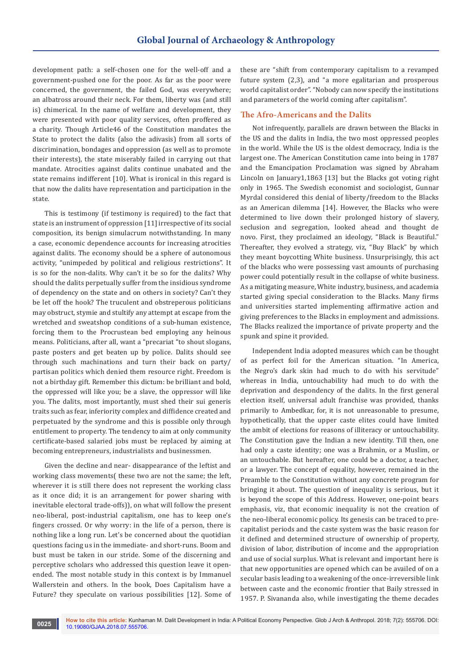development path: a self-chosen one for the well-off and a government-pushed one for the poor. As far as the poor were concerned, the government, the failed God, was everywhere; an albatross around their neck. For them, liberty was (and still is) chimerical. In the name of welfare and development, they were presented with poor quality services, often proffered as a charity. Though Article46 of the Constitution mandates the State to protect the dalits (also the adivasis) from all sorts of discrimination, bondages and oppression (as well as to promote their interests), the state miserably failed in carrying out that mandate. Atrocities against dalits continue unabated and the state remains indifferent [10]. What is ironical in this regard is that now the dalits have representation and participation in the state.

This is testimony (if testimony is required) to the fact that state is an instrument of oppression [11] irrespective of its social composition, its benign simulacrum notwithstanding. In many a case, economic dependence accounts for increasing atrocities against dalits. The economy should be a sphere of autonomous activity, "unimpeded by political and religious restrictions". It is so for the non-dalits. Why can't it be so for the dalits? Why should the dalits perpetually suffer from the insidious syndrome of dependency on the state and on others in society? Can't they be let off the hook? The truculent and obstreperous politicians may obstruct, stymie and stultify any attempt at escape from the wretched and sweatshop conditions of a sub-human existence, forcing them to the Procrustean bed employing any heinous means. Politicians, after all, want a "precariat "to shout slogans, paste posters and get beaten up by police. Dalits should see through such machinations and turn their back on party/ partisan politics which denied them resource right. Freedom is not a birthday gift. Remember this dictum: be brilliant and bold, the oppressed will like you; be a slave, the oppressor will like you. The dalits, most importantly, must shed their sui generis traits such as fear, inferiority complex and diffidence created and perpetuated by the syndrome and this is possible only through entitlement to property. The tendency to aim at only community certificate-based salaried jobs must be replaced by aiming at becoming entrepreneurs, industrialists and businessmen.

Given the decline and near- disappearance of the leftist and working class movements( these two are not the same; the left, wherever it is still there does not represent the working class as it once did; it is an arrangement for power sharing with inevitable electoral trade-offs)), on what will follow the present neo-liberal, post-industrial capitalism, one has to keep one's fingers crossed. Or why worry: in the life of a person, there is nothing like a long run. Let's be concerned about the quotidian questions facing us in the immediate- and short-runs. Boom and bust must be taken in our stride. Some of the discerning and perceptive scholars who addressed this question leave it openended. The most notable study in this context is by Immanuel Wallerstein and others. In the book, Does Capitalism have a Future? they speculate on various possibilities [12]. Some of these are "shift from contemporary capitalism to a revamped future system (2,3), and "a more egalitarian and prosperous world capitalist order". "Nobody can now specify the institutions and parameters of the world coming after capitalism".

## **The Afro-Americans and the Dalits**

Not infrequently, parallels are drawn between the Blacks in the US and the dalits in India, the two most oppressed peoples in the world. While the US is the oldest democracy, India is the largest one. The American Constitution came into being in 1787 and the Emancipation Proclamation was signed by Abraham Lincoln on January1,1863 [13] but the Blacks got voting right only in 1965. The Swedish economist and sociologist, Gunnar Myrdal considered this denial of liberty/freedom to the Blacks as an American dilemma [14]. However, the Blacks who were determined to live down their prolonged history of slavery, seclusion and segregation, looked ahead and thought de novo. First, they proclaimed an ideology, "Black is Beautiful." Thereafter, they evolved a strategy, viz, "Buy Black" by which they meant boycotting White business. Unsurprisingly, this act of the blacks who were possessing vast amounts of purchasing power could potentially result in the collapse of white business. As a mitigating measure, White industry, business, and academia started giving special consideration to the Blacks. Many firms and universities started implementing affirmative action and giving preferences to the Blacks in employment and admissions. The Blacks realized the importance of private property and the spunk and spine it provided.

Independent India adopted measures which can be thought of as perfect foil for the American situation. "In America, the Negro's dark skin had much to do with his servitude" whereas in India, untouchability had much to do with the deprivation and despondency of the dalits. In the first general election itself, universal adult franchise was provided, thanks primarily to Ambedkar, for, it is not unreasonable to presume, hypothetically, that the upper caste elites could have limited the ambit of elections for reasons of illiteracy or untouchability. The Constitution gave the Indian a new identity. Till then, one had only a caste identity; one was a Brahmin, or a Muslim, or an untouchable. But hereafter, one could be a doctor, a teacher, or a lawyer. The concept of equality, however, remained in the Preamble to the Constitution without any concrete program for bringing it about. The question of inequality is serious, but it is beyond the scope of this Address. However, one-point bears emphasis, viz, that economic inequality is not the creation of the neo-liberal economic policy. Its genesis can be traced to precapitalist periods and the caste system was the basic reason for it defined and determined structure of ownership of property, division of labor, distribution of income and the appropriation and use of social surplus. What is relevant and important here is that new opportunities are opened which can be availed of on a secular basis leading to a weakening of the once-irreversible link between caste and the economic frontier that Baily stressed in 1957. P. Sivananda also, while investigating the theme decades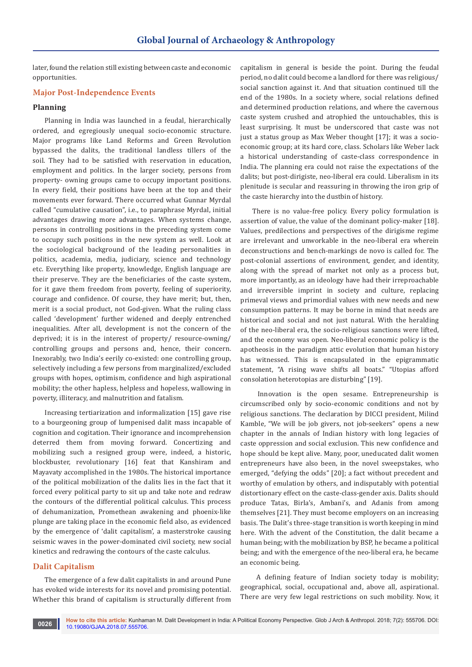later, found the relation still existing between caste and economic opportunities.

## **Major Post-Independence Events**

# **Planning**

Planning in India was launched in a feudal, hierarchically ordered, and egregiously unequal socio-economic structure. Major programs like Land Reforms and Green Revolution bypassed the dalits, the traditional landless tillers of the soil. They had to be satisfied with reservation in education, employment and politics. In the larger society, persons from property- owning groups came to occupy important positions. In every field, their positions have been at the top and their movements ever forward. There occurred what Gunnar Myrdal called "cumulative causation", i.e., to paraphrase Myrdal, initial advantages drawing more advantages. When systems change, persons in controlling positions in the preceding system come to occupy such positions in the new system as well. Look at the sociological background of the leading personalities in politics, academia, media, judiciary, science and technology etc. Everything like property, knowledge, English language are their preserve. They are the beneficiaries of the caste system, for it gave them freedom from poverty, feeling of superiority, courage and confidence. Of course, they have merit; but, then, merit is a social product, not God-given. What the ruling class called 'development' further widened and deeply entrenched inequalities. After all, development is not the concern of the deprived; it is in the interest of property/ resource-owning/ controlling groups and persons and, hence, their concern. Inexorably, two India's eerily co-existed: one controlling group, selectively including a few persons from marginalized/excluded groups with hopes, optimism, confidence and high aspirational mobility; the other hapless, helpless and hopeless, wallowing in poverty, illiteracy, and malnutrition and fatalism.

Increasing tertiarization and informalization [15] gave rise to a bourgeoning group of lumpenised dalit mass incapable of cognition and cogitation. Their ignorance and incomprehension deterred them from moving forward. Concertizing and mobilizing such a resigned group were, indeed, a historic, blockbuster, revolutionary [16] feat that Kanshiram and Mayavaty accomplished in the 1980s. The historical importance of the political mobilization of the dalits lies in the fact that it forced every political party to sit up and take note and redraw the contours of the differential political calculus. This process of dehumanization, Promethean awakening and phoenix-like plunge are taking place in the economic field also, as evidenced by the emergence of 'dalit capitalism', a masterstroke causing seismic waves in the power-dominated civil society, new social kinetics and redrawing the contours of the caste calculus.

#### **Dalit Capitalism**

The emergence of a few dalit capitalists in and around Pune has evoked wide interests for its novel and promising potential. Whether this brand of capitalism is structurally different from

capitalism in general is beside the point. During the feudal period, no dalit could become a landlord for there was religious/ social sanction against it. And that situation continued till the end of the 1980s. In a society where, social relations defined and determined production relations, and where the cavernous caste system crushed and atrophied the untouchables, this is least surprising. It must be underscored that caste was not just a status group as Max Weber thought [17]; it was a socioeconomic group; at its hard core, class. Scholars like Weber lack a historical understanding of caste-class correspondence in India. The planning era could not raise the expectations of the dalits; but post-dirigiste, neo-liberal era could. Liberalism in its plenitude is secular and reassuring in throwing the iron grip of the caste hierarchy into the dustbin of history.

There is no value-free policy. Every policy formulation is assertion of value, the value of the dominant policy-maker [18]. Values, predilections and perspectives of the dirigisme regime are irrelevant and unworkable in the neo-liberal era wherein deconstructions and bench-markings de novo is called for. The post-colonial assertions of environment, gender, and identity, along with the spread of market not only as a process but, more importantly, as an ideology have had their irreproachable and irreversible imprint in society and culture, replacing primeval views and primordial values with new needs and new consumption patterns. It may be borne in mind that needs are historical and social and not just natural. With the heralding of the neo-liberal era, the socio-religious sanctions were lifted, and the economy was open. Neo-liberal economic policy is the apotheosis in the paradigm attic evolution that human history has witnessed. This is encapsulated in the epigrammatic statement, "A rising wave shifts all boats." "Utopias afford consolation heterotopias are disturbing" [19].

 Innovation is the open sesame. Entrepreneurship is circumscribed only by socio-economic conditions and not by religious sanctions. The declaration by DICCI president, Milind Kamble, "We will be job givers, not job-seekers" opens a new chapter in the annals of Indian history with long legacies of caste oppression and social exclusion. This new confidence and hope should be kept alive. Many, poor, uneducated dalit women entrepreneurs have also been, in the novel sweepstakes, who emerged, "defying the odds" [20]; a fact without precedent and worthy of emulation by others, and indisputably with potential distortionary effect on the caste-class-gender axis. Dalits should produce Tatas, Birla's, Ambani's, and Adanis from among themselves [21]. They must become employers on an increasing basis. The Dalit's three-stage transition is worth keeping in mind here. With the advent of the Constitution, the dalit became a human being; with the mobilization by BSP, he became a political being; and with the emergence of the neo-liberal era, he became an economic being.

 A defining feature of Indian society today is mobility; geographical, social, occupational and, above all, aspirational. There are very few legal restrictions on such mobility. Now, it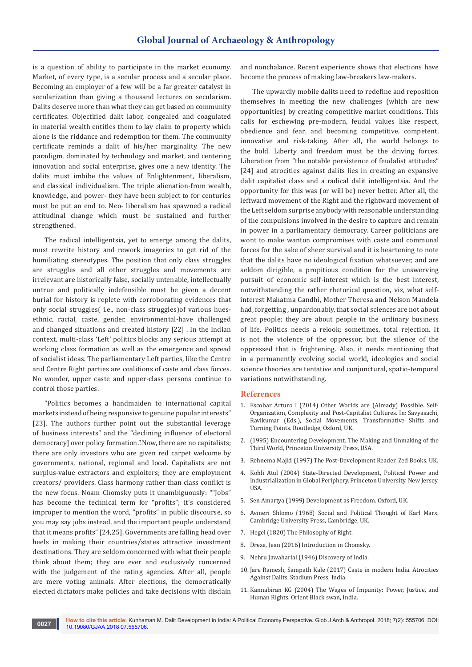is a question of ability to participate in the market economy. Market, of every type, is a secular process and a secular place. Becoming an employer of a few will be a far greater catalyst in secularization than giving a thousand lectures on secularism. Dalits deserve more than what they can get based on community certificates. Objectified dalit labor, congealed and coagulated in material wealth entitles them to lay claim to property which alone is the riddance and redemption for them. The community certificate reminds a dalit of his/her marginality. The new paradigm, dominated by technology and market, and centering innovation and social enterprise, gives one a new identity. The dalits must imbibe the values of Enlightenment, liberalism, and classical individualism. The triple alienation-from wealth, knowledge, and power- they have been subject to for centuries must be put an end to. Neo- liberalism has spawned a radical attitudinal change which must be sustained and further strengthened.

The radical intelligentsia, yet to emerge among the dalits, must rewrite history and rework imageries to get rid of the humiliating stereotypes. The position that only class struggles are struggles and all other struggles and movements are irrelevant are historically false, socially untenable, intellectually untrue and politically indefensible must be given a decent burial for history is replete with corroborating evidences that only social struggles( i.e., non-class struggles)of various huesethnic, racial, caste, gender, environmental-have challenged and changed situations and created history [22] . In the Indian context, multi-class 'Left' politics blocks any serious attempt at working class formation as well as the emergence and spread of socialist ideas. The parliamentary Left parties, like the Centre and Centre Right parties are coalitions of caste and class forces. No wonder, upper caste and upper-class persons continue to control those parties.

"Politics becomes a handmaiden to international capital markets instead of being responsive to genuine popular interests" [23]. The authors further point out the substantial leverage of business interests" and the "declining influence of electoral democracy] over policy formation.".Now, there are no capitalists; there are only investors who are given red carpet welcome by governments, national, regional and local. Capitalists are not surplus-value extractors and exploiters; they are employment creators/ providers. Class harmony rather than class conflict is the new focus. Noam Chomsky puts it unambiguously: ""Jobs" has become the technical term for "profits"; it's considered improper to mention the word, "profits" in public discourse, so you may say jobs instead, and the important people understand that it means profits" [24,25]. Governments are falling head over heels in making their countries/states attractive investment destinations. They are seldom concerned with what their people think about them; they are ever and exclusively concerned with the judgement of the rating agencies. After all, people are mere voting animals. After elections, the democratically elected dictators make policies and take decisions with disdain

and nonchalance. Recent experience shows that elections have become the process of making law-breakers law-makers.

The upwardly mobile dalits need to redefine and reposition themselves in meeting the new challenges (which are new opportunities) by creating competitive market conditions. This calls for eschewing pre-modern, feudal values like respect, obedience and fear, and becoming competitive, competent, innovative and risk-taking. After all, the world belongs to the bold. Liberty and freedom must be the driving forces. Liberation from "the notable persistence of feudalist attitudes" [24] and atrocities against dalits lies in creating an expansive dalit capitalist class and a radical dalit intelligentsia. And the opportunity for this was (or will be) never better. After all, the leftward movement of the Right and the rightward movement of the Left seldom surprise anybody with reasonable understanding of the compulsions involved in the desire to capture and remain in power in a parliamentary democracy. Career politicians are wont to make wanton compromises with caste and communal forces for the sake of sheer survival and it is heartening to note that the dalits have no ideological fixation whatsoever, and are seldom dirigible, a propitious condition for the unswerving pursuit of economic self-interest which is the best interest, notwithstanding the rather rhetorical question, viz, what selfinterest Mahatma Gandhi, Mother Theresa and Nelson Mandela had, forgetting , unpardonably, that social sciences are not about great people; they are about people in the ordinary business of life. Politics needs a relook; sometimes, total rejection. It is not the violence of the oppressor, but the silence of the oppressed that is frightening. Also, it needs mentioning that in a permanently evolving social world, ideologies and social science theories are tentative and conjunctural, spatio-temporal variations notwithstanding.

#### **References**

- 1. Escobar Arturo I (2014) Other Worlds are (Already) Possible. Self-Organization, Complexity and Post-Capitalist Cultures. In: Savyasachi, Ravikumar (Eds.), Social Movements, Transformative Shifts and Turning Points. Routledge, Oxford, UK.
- 2. (1995) Encountering Development. The Making and Unmaking of the Third World, Princeton University Press, USA.
- 3. Rehnema Majid (1997) The Post-Development Reader. Zed Books, UK.
- 4. Kohli Atul (2004) State-Directed Development, Political Power and Industrialization in Global Periphery. Princeton University, New Jersey, USA.
- 5. Sen Amartya (1999) Development as Freedom. Oxford, UK.
- 6. Avineri Shlomo (1968) Social and Political Thought of Karl Marx. Cambridge University Press, Cambridge, UK.
- 7. Hegel (1820) The Philosophy of Right.
- 8. Dreze, Jean (2016) Introduction in Chomsky.
- 9. Nehru Jawaharlal (1946) Discovery of India.
- 10. Jare Ramesh, Sampath Kale (2017) Caste in modern India. Atrocities Against Dalits. Stadium Press, India.
- 11. Kannabiran KG (2004) The Wages of Impunity: Power, Justice, and Human Rights. Orient Black swan, India.